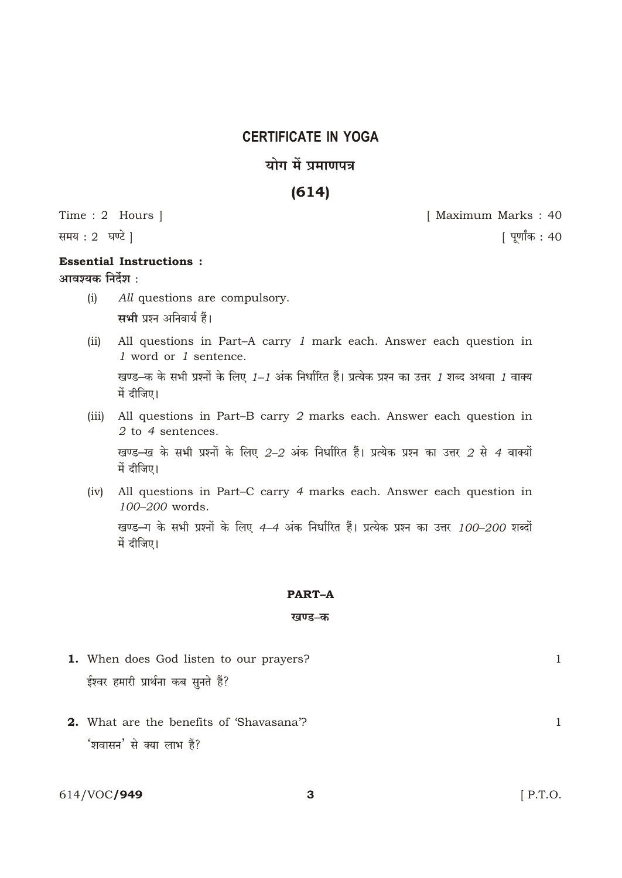## **CERTIFICATE IN YOGA**

## योग में प्रमाणपत्र

## $(614)$

Time: 2 Hours |

समय: 2 घण्टे |

## **Essential Instructions:** आवश्यक निर्देश :

- $(i)$ All questions are compulsory. सभी प्रश्न अनिवार्य हैं।
- All questions in Part-A carry 1 mark each. Answer each question in  $(ii)$ 1 word or 1 sentence. खण्ड-क के सभी प्रश्नों के लिए 1-1 अंक निर्धारित हैं। प्रत्येक प्रश्न का उत्तर 1 शब्द अथवा 1 वाक्य में दीजिए।
- (iii) All questions in Part-B carry 2 marks each. Answer each question in 2 to 4 sentences. खण्ड-ख के सभी प्रश्नों के लिए 2-2 अंक निर्धारित हैं। प्रत्येक प्रश्न का उत्तर 2 से 4 वाक्यों में दीजिए।
- (iv) All questions in Part-C carry 4 marks each. Answer each question in 100-200 words. खण्ड-ग के सभी प्रश्नों के लिए 4-4 अंक निर्धारित हैं। प्रत्येक प्रश्न का उत्तर 100-200 शब्दों में दीजिए।

### **PART-A**

#### खण्ड–क

- 1. When does God listen to our prayers? ईश्वर हमारी प्रार्थना कब सुनते हैं?
- 2. What are the benefits of 'Shavasana'? 'शवासन' से क्या लाभ हैं?

[ Maximum Marks: 40

[ पूर्णांक : 40

 $\mathbf{1}$ 

 $\mathbf{1}$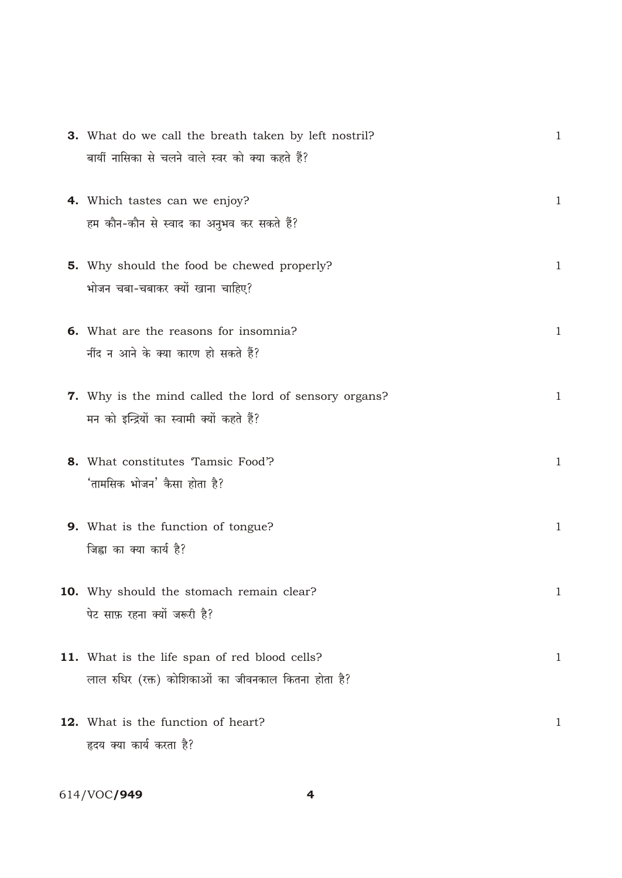|                                                  | $\mathbf{1}$                                                                                                                                                                                                                                                                                                                                                                                                                                                                                                                                                                                                    |
|--------------------------------------------------|-----------------------------------------------------------------------------------------------------------------------------------------------------------------------------------------------------------------------------------------------------------------------------------------------------------------------------------------------------------------------------------------------------------------------------------------------------------------------------------------------------------------------------------------------------------------------------------------------------------------|
| बायीं नासिका से चलने वाले स्वर को क्या कहते हैं? |                                                                                                                                                                                                                                                                                                                                                                                                                                                                                                                                                                                                                 |
|                                                  |                                                                                                                                                                                                                                                                                                                                                                                                                                                                                                                                                                                                                 |
|                                                  | $\mathbf{1}$                                                                                                                                                                                                                                                                                                                                                                                                                                                                                                                                                                                                    |
| हम कौन-कौन से स्वाद का अनुभव कर सकते हैं?        |                                                                                                                                                                                                                                                                                                                                                                                                                                                                                                                                                                                                                 |
|                                                  | $\mathbf{1}$                                                                                                                                                                                                                                                                                                                                                                                                                                                                                                                                                                                                    |
|                                                  |                                                                                                                                                                                                                                                                                                                                                                                                                                                                                                                                                                                                                 |
|                                                  |                                                                                                                                                                                                                                                                                                                                                                                                                                                                                                                                                                                                                 |
|                                                  | $\mathbf{1}$                                                                                                                                                                                                                                                                                                                                                                                                                                                                                                                                                                                                    |
| र्नीद न आने के क्या कारण हो सकते हैं?            |                                                                                                                                                                                                                                                                                                                                                                                                                                                                                                                                                                                                                 |
|                                                  |                                                                                                                                                                                                                                                                                                                                                                                                                                                                                                                                                                                                                 |
|                                                  | $\mathbf{1}$                                                                                                                                                                                                                                                                                                                                                                                                                                                                                                                                                                                                    |
| मन को इन्द्रियों का स्वामी क्यों कहते हैं?       |                                                                                                                                                                                                                                                                                                                                                                                                                                                                                                                                                                                                                 |
|                                                  | $\mathbf{1}$                                                                                                                                                                                                                                                                                                                                                                                                                                                                                                                                                                                                    |
|                                                  |                                                                                                                                                                                                                                                                                                                                                                                                                                                                                                                                                                                                                 |
|                                                  |                                                                                                                                                                                                                                                                                                                                                                                                                                                                                                                                                                                                                 |
|                                                  | $\mathbf{1}$                                                                                                                                                                                                                                                                                                                                                                                                                                                                                                                                                                                                    |
| जिह्वा का क्या कार्य है?                         |                                                                                                                                                                                                                                                                                                                                                                                                                                                                                                                                                                                                                 |
|                                                  |                                                                                                                                                                                                                                                                                                                                                                                                                                                                                                                                                                                                                 |
|                                                  |                                                                                                                                                                                                                                                                                                                                                                                                                                                                                                                                                                                                                 |
| पेट साफ़ रहना क्यों जरूरी है?                    |                                                                                                                                                                                                                                                                                                                                                                                                                                                                                                                                                                                                                 |
|                                                  | $\mathbf 1$                                                                                                                                                                                                                                                                                                                                                                                                                                                                                                                                                                                                     |
|                                                  |                                                                                                                                                                                                                                                                                                                                                                                                                                                                                                                                                                                                                 |
|                                                  |                                                                                                                                                                                                                                                                                                                                                                                                                                                                                                                                                                                                                 |
|                                                  | 1                                                                                                                                                                                                                                                                                                                                                                                                                                                                                                                                                                                                               |
| हृदय क्या कार्य करता है?                         |                                                                                                                                                                                                                                                                                                                                                                                                                                                                                                                                                                                                                 |
|                                                  | <b>3.</b> What do we call the breath taken by left nostril?<br>4. Which tastes can we enjoy?<br><b>5.</b> Why should the food be chewed properly?<br>भोजन चबा-चबाकर क्यों खाना चाहिए?<br>6. What are the reasons for insomnia?<br><b>7.</b> Why is the mind called the lord of sensory organs?<br>8. What constitutes Tamsic Food?<br>'तामसिक भोजन' कैसा होता है?<br><b>9.</b> What is the function of tongue?<br><b>10.</b> Why should the stomach remain clear?<br>11. What is the life span of red blood cells?<br>लाल रुधिर (रक्त) कोशिकाओं का जीवनकाल कितना होता है?<br>12. What is the function of heart? |

# 614/VOC**/949**

 $\overline{\mathbf{4}}$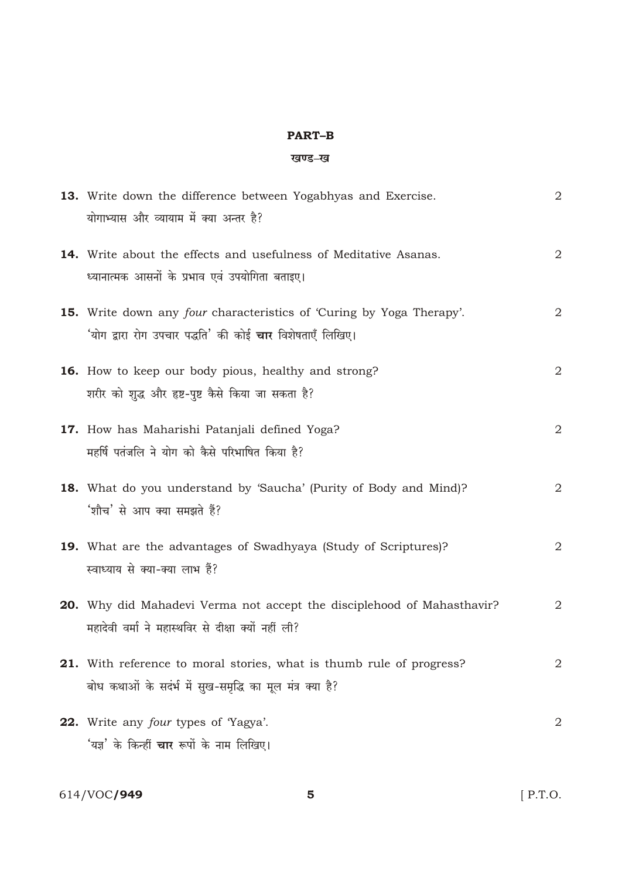### **PART-B**

### खण्ड-ख

|     | 13. Write down the difference between Yogabhyas and Exercise.<br>योगाभ्यास और व्यायाम में क्या अन्तर है?                                               | $\overline{2}$ |
|-----|--------------------------------------------------------------------------------------------------------------------------------------------------------|----------------|
|     | <b>14.</b> Write about the effects and usefulness of Meditative Asanas.<br>ध्यानात्मक आसनों के प्रभाव एवं उपयोगिता बताइए।                              | $\sqrt{2}$     |
|     | <b>15.</b> Write down any <i>four</i> characteristics of 'Curing by Yoga Therapy'.<br>'योग द्वारा रोग उपचार पद्धति' की कोई <b>चार</b> विशेषताएँ लिखिए। | 2              |
|     | <b>16.</b> How to keep our body pious, healthy and strong?<br>शरीर को शुद्ध और हृष्ट-पुष्ट कैसे किया जा सकता है?                                       | $\overline{2}$ |
|     | 17. How has Maharishi Patanjali defined Yoga?<br>महर्षि पतंजलि ने योग को कैसे परिभाषित किया है?                                                        | $\sqrt{2}$     |
|     | <b>18.</b> What do you understand by 'Saucha' (Purity of Body and Mind)?<br>'शौच' से आप क्या समझते हैं?                                                | 2              |
|     | 19. What are the advantages of Swadhyaya (Study of Scriptures)?<br>स्वाध्याय से क्या-क्या लाभ हैं?                                                     | $\overline{2}$ |
|     | 20. Why did Mahadevi Verma not accept the disciplehood of Mahasthavir?<br>महादेवी वर्मा ने महास्थविर से दीक्षा क्यों नहीं ली?                          | 2              |
|     | <b>21.</b> With reference to moral stories, what is thumb rule of progress?<br>बोध कथाओं के सदंर्भ में सुख-समृद्धि का मूल मंत्र क्या है?               | 2              |
| 22. | Write any <i>four</i> types of 'Yagya'.<br>'यज्ञ' के किन्हीं <b>चार</b> रूपों के नाम लिखिए।                                                            | 2              |

 $5\phantom{1}$ 

614/VOC**/949** 

 $[$  P.T.O.